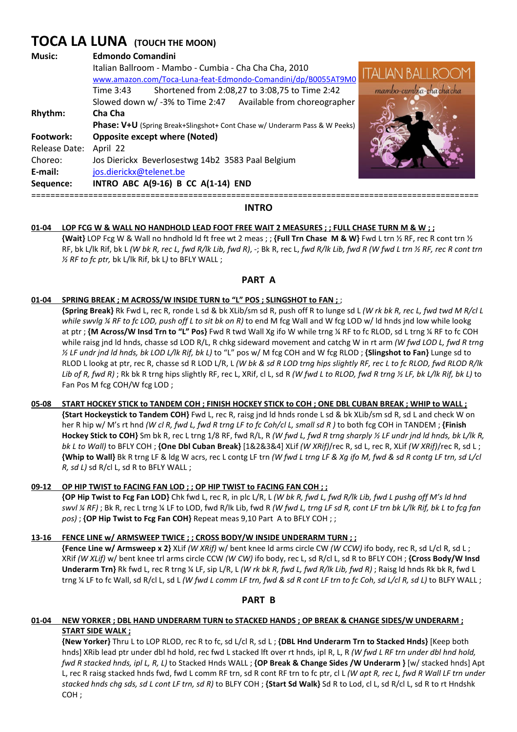# **TOCA LA LUNA (TOUCH THE MOON)**

| <b>Edmondo Comandini</b>                                                          |                   |
|-----------------------------------------------------------------------------------|-------------------|
| Italian Ballroom - Mambo - Cumbia - Cha Cha Cha, 2010                             | <b>ITALIAN BA</b> |
| www.amazon.com/Toca-Luna-feat-Edmondo-Comandini/dp/B0055AT9M0                     |                   |
| Shortened from 2:08,27 to 3:08,75 to Time 2:42<br>Time 3:43                       |                   |
| Slowed down w/-3% to Time 2:47 Available from choreographer                       |                   |
| Cha Cha                                                                           |                   |
| <b>Phase: V+U</b> (Spring Break+Slingshot+ Cont Chase w/ Underarm Pass & W Peeks) |                   |
| <b>Opposite except where (Noted)</b>                                              |                   |
| April 22                                                                          |                   |
| Jos Dierickx Beverlosestwg 14b2 3583 Paal Belgium                                 |                   |
| jos.dierickx@telenet.be                                                           |                   |
| INTRO ABC A(9-16) B CC A(1-14) END                                                |                   |
|                                                                                   |                   |

==============================================================================================



## **01-04 LOP FCG W & WALL NO HANDHOLD LEAD FOOT FREE WAIT 2 MEASURES ; ; FULL CHASE TURN M & W ; ;**

 **{Wait}** LOP Fcg W & Wall no hndhold ld ft free wt 2 meas ; ; **{Full Trn Chase M & W}** Fwd L trn ½ RF, rec R cont trn ½ RF, bk L/lk Rif, bk L *(W bk R, rec L, fwd R/lk Lib, fwd R)*, -; Bk R, rec L, *fwd R/lk Lib, fwd R (W fwd L trn ½ RF, rec R cont trn ½ RF to fc ptr,* bk L/lk Rif, bk L*)* to BFLY WALL ;

## **PART A**

## **01-04 SPRING BREAK ; M ACROSS/W INSIDE TURN to "L" POS ; SLINGSHOT to FAN ;** ;

 **{Spring Break}** Rk Fwd L, rec R, ronde L sd & bk XLib/sm sd R, push off R to lunge sd L *(W rk bk R, rec L, fwd twd M R/cl L while swvlg ¼ RF to fc LOD, push off L to sit bk on R)* to end M fcg Wall and W fcg LOD w/ ld hnds jnd low while lookg at ptr ; **{M Across/W Insd Trn to "L" Pos}** Fwd R twd Wall Xg ifo W while trng ¼ RF to fc RLOD, sd L trng ¼ RF to fc COH while raisg jnd ld hnds, chasse sd LOD R/L, R chkg sideward movement and catchg W in rt arm *(W fwd LOD L, fwd R trng ½ LF undr jnd ld hnds, bk LOD L/lk Rif, bk L)* to "L" pos w/ M fcg COH and W fcg RLOD ; **{Slingshot to Fan}** Lunge sd to RLOD L lookg at ptr, rec R, chasse sd R LOD L/R, L *(W bk & sd R LOD trng hips slightly RF, rec L to fc RLOD, fwd RLOD R/lk Lib of R, fwd R)* ; Rk bk R trng hips slightly RF, rec L, XRif, cl L, sd R *(W fwd L to RLOD, fwd R trng ½ LF, bk L/lk Rif, bk L)* to Fan Pos M fcg COH/W fcg LOD;

## **05-08 START HOCKEY STICK to TANDEM COH ; FINISH HOCKEY STICK to COH ; ONE DBL CUBAN BREAK ; WHIP to WALL ; {Start Hockeystick to Tandem COH}** Fwd L, rec R, raisg jnd ld hnds ronde L sd & bk XLib/sm sd R, sd L and check W on her R hip w/ M's rt hnd *(W cl R, fwd L, fwd R trng LF to fc Coh/cl L, small sd R)* to both fcg COH in TANDEM; **{Finish Hockey Stick to COH}** Sm bk R, rec L trng 1/8 RF, fwd R/L, R *(W fwd L, fwd R trng sharply ½ LF undr jnd ld hnds, bk L/lk R, bk L to Wall)* to BFLY COH ; **{One Dbl Cuban Break}** [1&2&3&4] XLif *(W XRif)*/rec R, sd L, rec R, XLif *(W XRif)*/rec R, sd L ; **{Whip to Wall}** Bk R trng LF & ldg W acrs, rec L contg LF trn *(W fwd L trng LF & Xg ifo M, fwd & sd R contg LF trn, sd L/cl R, sd L)* sd R/cl L, sd R to BFLY WALL ;

### **09-12 OP HIP TWIST to FACING FAN LOD ; ; OP HIP TWIST to FACING FAN COH ; ;**

 **{OP Hip Twist to Fcg Fan LOD}** Chk fwd L, rec R, in plc L/R, L *(W bk R, fwd L, fwd R/lk Lib, fwd L pushg off M's ld hnd swvl ¼ RF)* ; Bk R, rec L trng ¼ LF to LOD, fwd R/lk Lib, fwd R *(W fwd L, trng LF sd R, cont LF trn bk L/lk Rif, bk L to fcg fan pos)* ; **{OP Hip Twist to Fcg Fan COH}** Repeat meas 9,10 Part A to BFLY COH ; ;

### **13-16 FENCE LINE w/ ARMSWEEP TWICE ; ; CROSS BODY/W INSIDE UNDERARM TURN ; ;**

**{Fence Line w/ Armsweep x 2}** XLif *(W XRif)* w/ bent knee ld arms circle CW *(W CCW)* ifo body, rec R, sd L/cl R, sd L ; XRif *(W XLif)* w/ bent knee trl arms circle CCW *(W CW)* ifo body, rec L, sd R/cl L, sd R to BFLY COH ; **{Cross Body/W Insd Underarm Trn}** Rk fwd L, rec R trng ¼ LF, sip L/R, L *(W rk bk R, fwd L, fwd R/lk Lib, fwd R)* ; Raisg ld hnds Rk bk R, fwd L trng ¼ LF to fc Wall, sd R/cl L, sd L *(W fwd L comm LF trn, fwd & sd R cont LF trn to fc Coh, sd L/cl R, sd L)* to BLFY WALL ;

**PART B** 

#### **01-04 NEW YORKER ; DBL HAND UNDERARM TURN to STACKED HANDS ; OP BREAK & CHANGE SIDES/W UNDERARM ; START SIDE WALK ;**

 **{New Yorker}** Thru L to LOP RLOD, rec R to fc, sd L/cl R, sd L ; **{DBL Hnd Underarm Trn to Stacked Hnds}** [Keep both hnds] XRib lead ptr under dbl hd hold, rec fwd L stacked lft over rt hnds, ipl R, L, R *(W fwd L RF trn under dbl hnd hold, fwd R stacked hnds, ipl L, R, L)* to Stacked Hnds WALL ; **{OP Break & Change Sides /W Underarm }** [w/ stacked hnds] Apt L, rec R raisg stacked hnds fwd, fwd L comm RF trn, sd R cont RF trn to fc ptr, cl L *(W apt R, rec L, fwd R Wall LF trn under stacked hnds chg sds, sd L cont LF trn, sd R)* to BLFY COH ; **{Start Sd Walk}** Sd R to Lod, cl L, sd R/cl L, sd R to rt Hndshk COH ;